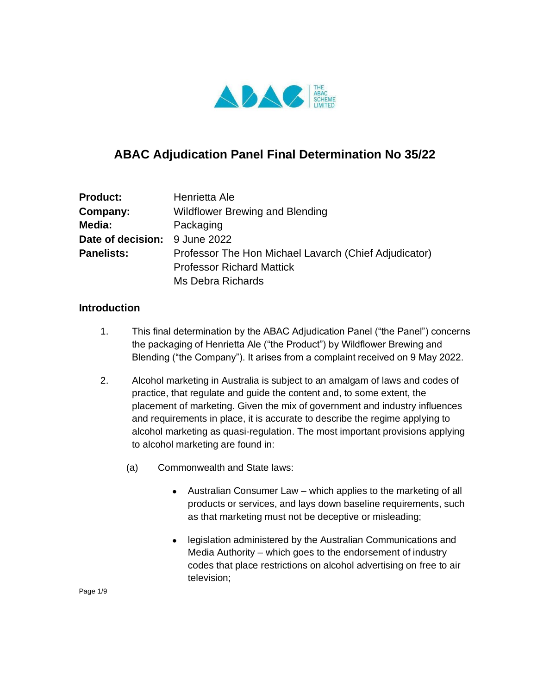

# **ABAC Adjudication Panel Final Determination No 35/22**

| <b>Product:</b>               | Henrietta Ale                                         |
|-------------------------------|-------------------------------------------------------|
| Company:                      | <b>Wildflower Brewing and Blending</b>                |
| Media:                        | Packaging                                             |
| Date of decision: 9 June 2022 |                                                       |
| <b>Panelists:</b>             | Professor The Hon Michael Lavarch (Chief Adjudicator) |
|                               | <b>Professor Richard Mattick</b>                      |
|                               | Ms Debra Richards                                     |

#### **Introduction**

- 1. This final determination by the ABAC Adjudication Panel ("the Panel") concerns the packaging of Henrietta Ale ("the Product") by Wildflower Brewing and Blending ("the Company"). It arises from a complaint received on 9 May 2022.
- 2. Alcohol marketing in Australia is subject to an amalgam of laws and codes of practice, that regulate and guide the content and, to some extent, the placement of marketing. Given the mix of government and industry influences and requirements in place, it is accurate to describe the regime applying to alcohol marketing as quasi-regulation. The most important provisions applying to alcohol marketing are found in:
	- (a) Commonwealth and State laws:
		- $\bullet$  Australian Consumer Law which applies to the marketing of all products or services, and lays down baseline requirements, such as that marketing must not be deceptive or misleading;
		- legislation administered by the Australian Communications and Media Authority – which goes to the endorsement of industry codes that place restrictions on alcohol advertising on free to air television;

Page 1/9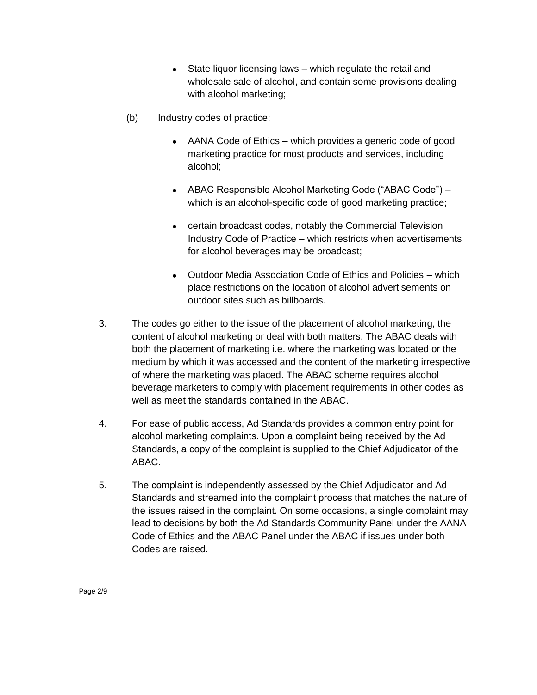- $\bullet$  State liquor licensing laws which regulate the retail and wholesale sale of alcohol, and contain some provisions dealing with alcohol marketing;
- (b) Industry codes of practice:
	- AANA Code of Ethics which provides a generic code of good marketing practice for most products and services, including alcohol;
	- ABAC Responsible Alcohol Marketing Code ("ABAC Code") which is an alcohol-specific code of good marketing practice;
	- certain broadcast codes, notably the Commercial Television Industry Code of Practice – which restricts when advertisements for alcohol beverages may be broadcast;
	- Outdoor Media Association Code of Ethics and Policies which place restrictions on the location of alcohol advertisements on outdoor sites such as billboards.
- 3. The codes go either to the issue of the placement of alcohol marketing, the content of alcohol marketing or deal with both matters. The ABAC deals with both the placement of marketing i.e. where the marketing was located or the medium by which it was accessed and the content of the marketing irrespective of where the marketing was placed. The ABAC scheme requires alcohol beverage marketers to comply with placement requirements in other codes as well as meet the standards contained in the ABAC.
- 4. For ease of public access, Ad Standards provides a common entry point for alcohol marketing complaints. Upon a complaint being received by the Ad Standards, a copy of the complaint is supplied to the Chief Adjudicator of the ABAC.
- 5. The complaint is independently assessed by the Chief Adjudicator and Ad Standards and streamed into the complaint process that matches the nature of the issues raised in the complaint. On some occasions, a single complaint may lead to decisions by both the Ad Standards Community Panel under the AANA Code of Ethics and the ABAC Panel under the ABAC if issues under both Codes are raised.

Page 2/9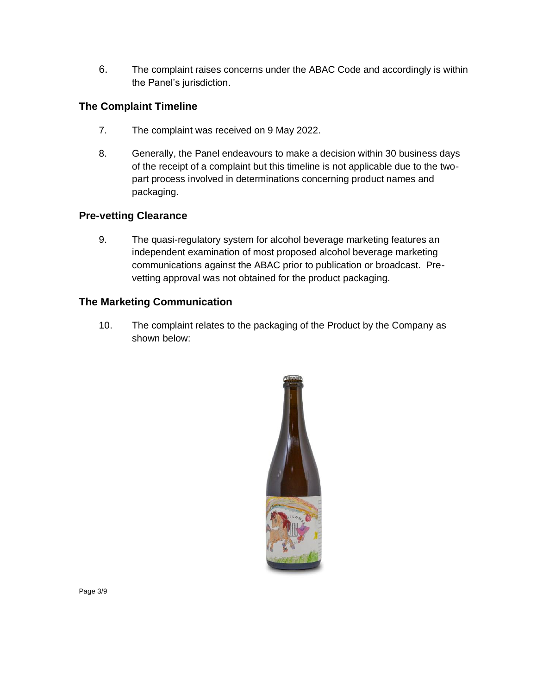6. The complaint raises concerns under the ABAC Code and accordingly is within the Panel's jurisdiction.

## **The Complaint Timeline**

- 7. The complaint was received on 9 May 2022.
- 8. Generally, the Panel endeavours to make a decision within 30 business days of the receipt of a complaint but this timeline is not applicable due to the twopart process involved in determinations concerning product names and packaging.

### **Pre-vetting Clearance**

9. The quasi-regulatory system for alcohol beverage marketing features an independent examination of most proposed alcohol beverage marketing communications against the ABAC prior to publication or broadcast. Prevetting approval was not obtained for the product packaging.

### **The Marketing Communication**

10. The complaint relates to the packaging of the Product by the Company as shown below:

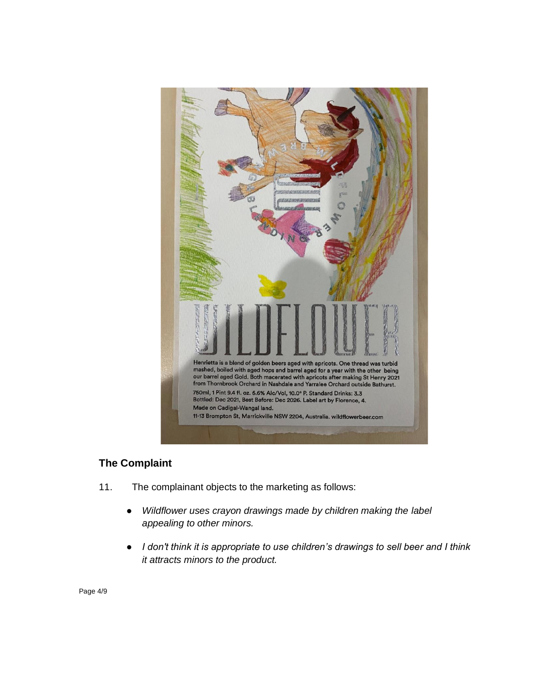

### **The Complaint**

- 11. The complainant objects to the marketing as follows:
	- *Wildflower uses crayon drawings made by children making the label appealing to other minors.*
	- *I don't think it is appropriate to use children's drawings to sell beer and I think it attracts minors to the product.*

Page 4/9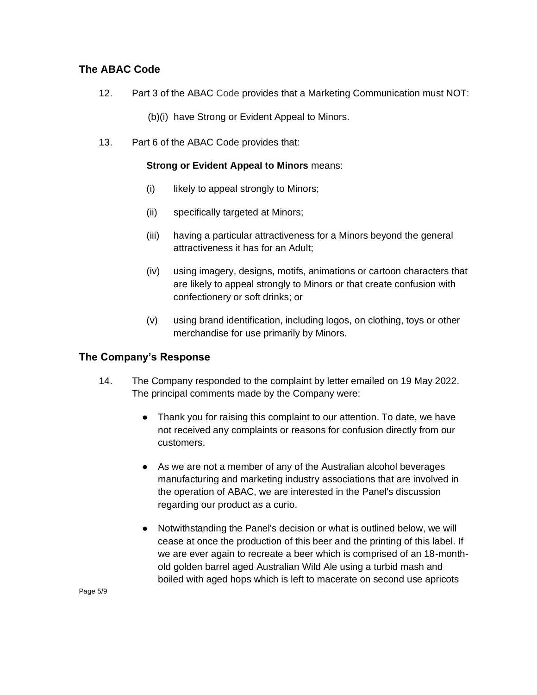### **The ABAC Code**

- 12. Part 3 of the ABAC Code provides that a Marketing Communication must NOT:
	- (b)(i) have Strong or Evident Appeal to Minors.
- 13. Part 6 of the ABAC Code provides that:

#### **Strong or Evident Appeal to Minors** means:

- (i) likely to appeal strongly to Minors;
- (ii) specifically targeted at Minors;
- (iii) having a particular attractiveness for a Minors beyond the general attractiveness it has for an Adult;
- (iv) using imagery, designs, motifs, animations or cartoon characters that are likely to appeal strongly to Minors or that create confusion with confectionery or soft drinks; or
- (v) using brand identification, including logos, on clothing, toys or other merchandise for use primarily by Minors.

#### **The Company's Response**

- 14. The Company responded to the complaint by letter emailed on 19 May 2022. The principal comments made by the Company were:
	- Thank you for raising this complaint to our attention. To date, we have not received any complaints or reasons for confusion directly from our customers.
	- As we are not a member of any of the Australian alcohol beverages manufacturing and marketing industry associations that are involved in the operation of ABAC, we are interested in the Panel's discussion regarding our product as a curio.
	- Notwithstanding the Panel's decision or what is outlined below, we will cease at once the production of this beer and the printing of this label. If we are ever again to recreate a beer which is comprised of an 18-monthold golden barrel aged Australian Wild Ale using a turbid mash and boiled with aged hops which is left to macerate on second use apricots

Page 5/9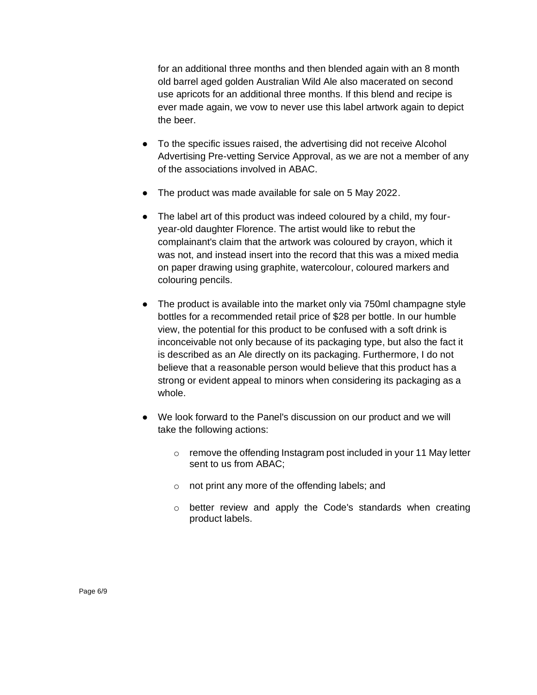for an additional three months and then blended again with an 8 month old barrel aged golden Australian Wild Ale also macerated on second use apricots for an additional three months. If this blend and recipe is ever made again, we vow to never use this label artwork again to depict the beer.

- To the specific issues raised, the advertising did not receive Alcohol Advertising Pre-vetting Service Approval, as we are not a member of any of the associations involved in ABAC.
- The product was made available for sale on 5 May 2022.
- The label art of this product was indeed coloured by a child, my fouryear-old daughter Florence. The artist would like to rebut the complainant's claim that the artwork was coloured by crayon, which it was not, and instead insert into the record that this was a mixed media on paper drawing using graphite, watercolour, coloured markers and colouring pencils.
- The product is available into the market only via 750ml champagne style bottles for a recommended retail price of \$28 per bottle. In our humble view, the potential for this product to be confused with a soft drink is inconceivable not only because of its packaging type, but also the fact it is described as an Ale directly on its packaging. Furthermore, I do not believe that a reasonable person would believe that this product has a strong or evident appeal to minors when considering its packaging as a whole.
- We look forward to the Panel's discussion on our product and we will take the following actions:
	- o remove the offending Instagram post included in your 11 May letter sent to us from ABAC;
	- o not print any more of the offending labels; and
	- o better review and apply the Code's standards when creating product labels.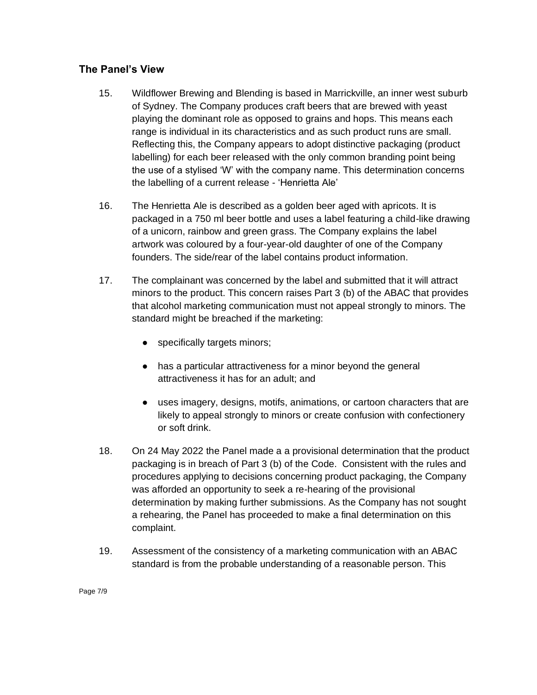#### **The Panel's View**

- 15. Wildflower Brewing and Blending is based in Marrickville, an inner west suburb of Sydney. The Company produces craft beers that are brewed with yeast playing the dominant role as opposed to grains and hops. This means each range is individual in its characteristics and as such product runs are small. Reflecting this, the Company appears to adopt distinctive packaging (product labelling) for each beer released with the only common branding point being the use of a stylised 'W' with the company name. This determination concerns the labelling of a current release - 'Henrietta Ale'
- 16. The Henrietta Ale is described as a golden beer aged with apricots. It is packaged in a 750 ml beer bottle and uses a label featuring a child-like drawing of a unicorn, rainbow and green grass. The Company explains the label artwork was coloured by a four-year-old daughter of one of the Company founders. The side/rear of the label contains product information.
- 17. The complainant was concerned by the label and submitted that it will attract minors to the product. This concern raises Part 3 (b) of the ABAC that provides that alcohol marketing communication must not appeal strongly to minors. The standard might be breached if the marketing:
	- specifically targets minors;
	- has a particular attractiveness for a minor beyond the general attractiveness it has for an adult; and
	- uses imagery, designs, motifs, animations, or cartoon characters that are likely to appeal strongly to minors or create confusion with confectionery or soft drink.
- 18. On 24 May 2022 the Panel made a a provisional determination that the product packaging is in breach of Part 3 (b) of the Code. Consistent with the rules and procedures applying to decisions concerning product packaging, the Company was afforded an opportunity to seek a re-hearing of the provisional determination by making further submissions. As the Company has not sought a rehearing, the Panel has proceeded to make a final determination on this complaint.
- 19. Assessment of the consistency of a marketing communication with an ABAC standard is from the probable understanding of a reasonable person. This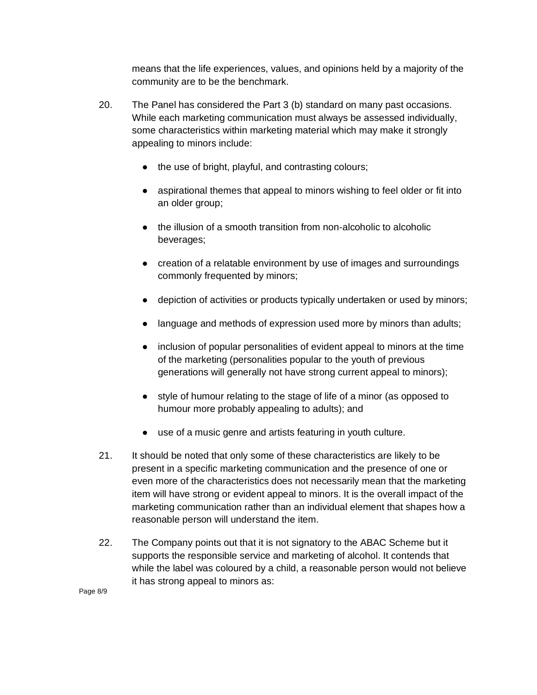means that the life experiences, values, and opinions held by a majority of the community are to be the benchmark.

- 20. The Panel has considered the Part 3 (b) standard on many past occasions. While each marketing communication must always be assessed individually, some characteristics within marketing material which may make it strongly appealing to minors include:
	- the use of bright, playful, and contrasting colours;
	- aspirational themes that appeal to minors wishing to feel older or fit into an older group;
	- the illusion of a smooth transition from non-alcoholic to alcoholic beverages;
	- creation of a relatable environment by use of images and surroundings commonly frequented by minors;
	- depiction of activities or products typically undertaken or used by minors;
	- language and methods of expression used more by minors than adults;
	- inclusion of popular personalities of evident appeal to minors at the time of the marketing (personalities popular to the youth of previous generations will generally not have strong current appeal to minors);
	- style of humour relating to the stage of life of a minor (as opposed to humour more probably appealing to adults); and
	- use of a music genre and artists featuring in youth culture.
- 21. It should be noted that only some of these characteristics are likely to be present in a specific marketing communication and the presence of one or even more of the characteristics does not necessarily mean that the marketing item will have strong or evident appeal to minors. It is the overall impact of the marketing communication rather than an individual element that shapes how a reasonable person will understand the item.
- 22. The Company points out that it is not signatory to the ABAC Scheme but it supports the responsible service and marketing of alcohol. It contends that while the label was coloured by a child, a reasonable person would not believe it has strong appeal to minors as:

Page 8/9